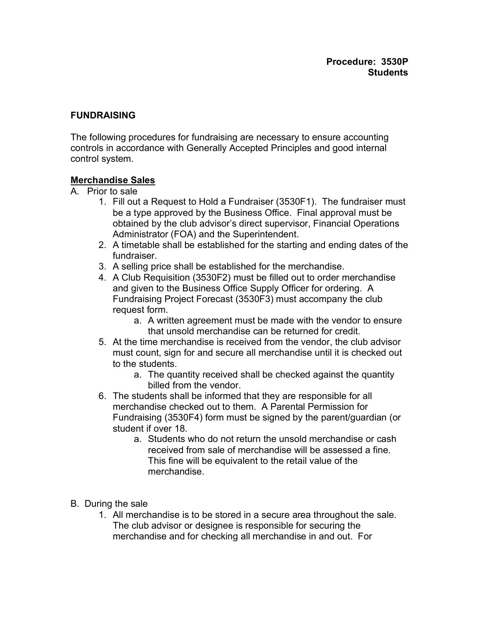#### **FUNDRAISING**

The following procedures for fundraising are necessary to ensure accounting controls in accordance with Generally Accepted Principles and good internal control system.

#### **Merchandise Sales**

- A. Prior to sale
	- 1. Fill out a Request to Hold a Fundraiser (3530F1). The fundraiser must be a type approved by the Business Office. Final approval must be obtained by the club advisor's direct supervisor, Financial Operations Administrator (FOA) and the Superintendent.
	- 2. A timetable shall be established for the starting and ending dates of the fundraiser.
	- 3. A selling price shall be established for the merchandise.
	- 4. A Club Requisition (3530F2) must be filled out to order merchandise and given to the Business Office Supply Officer for ordering. A Fundraising Project Forecast (3530F3) must accompany the club request form.
		- a. A written agreement must be made with the vendor to ensure that unsold merchandise can be returned for credit.
	- 5. At the time merchandise is received from the vendor, the club advisor must count, sign for and secure all merchandise until it is checked out to the students.
		- a. The quantity received shall be checked against the quantity billed from the vendor.
	- 6. The students shall be informed that they are responsible for all merchandise checked out to them. A Parental Permission for Fundraising (3530F4) form must be signed by the parent/guardian (or student if over 18.
		- a. Students who do not return the unsold merchandise or cash received from sale of merchandise will be assessed a fine. This fine will be equivalent to the retail value of the merchandise.
- B. During the sale
	- 1. All merchandise is to be stored in a secure area throughout the sale. The club advisor or designee is responsible for securing the merchandise and for checking all merchandise in and out. For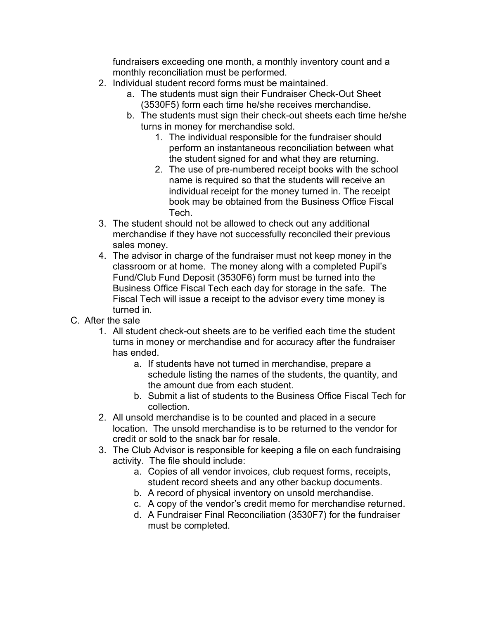fundraisers exceeding one month, a monthly inventory count and a monthly reconciliation must be performed.

- 2. Individual student record forms must be maintained.
	- a. The students must sign their Fundraiser Check-Out Sheet (3530F5) form each time he/she receives merchandise.
	- b. The students must sign their check-out sheets each time he/she turns in money for merchandise sold.
		- 1. The individual responsible for the fundraiser should perform an instantaneous reconciliation between what the student signed for and what they are returning.
		- 2. The use of pre-numbered receipt books with the school name is required so that the students will receive an individual receipt for the money turned in. The receipt book may be obtained from the Business Office Fiscal Tech.
- 3. The student should not be allowed to check out any additional merchandise if they have not successfully reconciled their previous sales money.
- 4. The advisor in charge of the fundraiser must not keep money in the classroom or at home. The money along with a completed Pupil's Fund/Club Fund Deposit (3530F6) form must be turned into the Business Office Fiscal Tech each day for storage in the safe. The Fiscal Tech will issue a receipt to the advisor every time money is turned in.
- C. After the sale
	- 1. All student check-out sheets are to be verified each time the student turns in money or merchandise and for accuracy after the fundraiser has ended.
		- a. If students have not turned in merchandise, prepare a schedule listing the names of the students, the quantity, and the amount due from each student.
		- b. Submit a list of students to the Business Office Fiscal Tech for collection.
	- 2. All unsold merchandise is to be counted and placed in a secure location. The unsold merchandise is to be returned to the vendor for credit or sold to the snack bar for resale.
	- 3. The Club Advisor is responsible for keeping a file on each fundraising activity. The file should include:
		- a. Copies of all vendor invoices, club request forms, receipts, student record sheets and any other backup documents.
		- b. A record of physical inventory on unsold merchandise.
		- c. A copy of the vendor's credit memo for merchandise returned.
		- d. A Fundraiser Final Reconciliation (3530F7) for the fundraiser must be completed.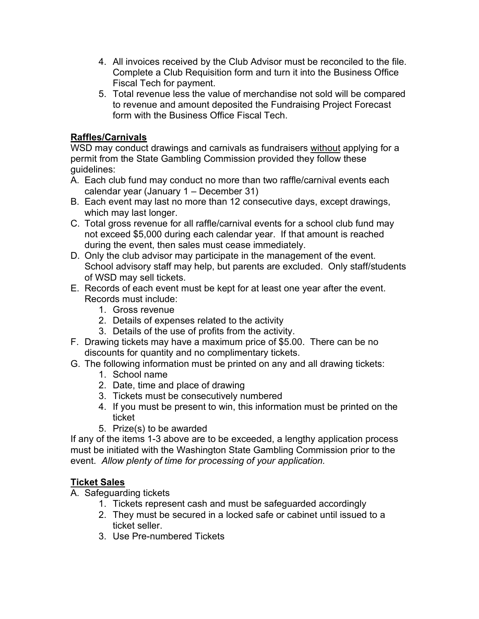- 4. All invoices received by the Club Advisor must be reconciled to the file. Complete a Club Requisition form and turn it into the Business Office Fiscal Tech for payment.
- 5. Total revenue less the value of merchandise not sold will be compared to revenue and amount deposited the Fundraising Project Forecast form with the Business Office Fiscal Tech.

# **Raffles/Carnivals**

WSD may conduct drawings and carnivals as fundraisers without applying for a permit from the State Gambling Commission provided they follow these guidelines:

- A. Each club fund may conduct no more than two raffle/carnival events each calendar year (January 1 – December 31)
- B. Each event may last no more than 12 consecutive days, except drawings, which may last longer.
- C. Total gross revenue for all raffle/carnival events for a school club fund may not exceed \$5,000 during each calendar year. If that amount is reached during the event, then sales must cease immediately.
- D. Only the club advisor may participate in the management of the event. School advisory staff may help, but parents are excluded. Only staff/students of WSD may sell tickets.
- E. Records of each event must be kept for at least one year after the event. Records must include:
	- 1. Gross revenue
	- 2. Details of expenses related to the activity
	- 3. Details of the use of profits from the activity.
- F. Drawing tickets may have a maximum price of \$5.00. There can be no discounts for quantity and no complimentary tickets.
- G. The following information must be printed on any and all drawing tickets:
	- 1. School name
	- 2. Date, time and place of drawing
	- 3. Tickets must be consecutively numbered
	- 4. If you must be present to win, this information must be printed on the ticket
	- 5. Prize(s) to be awarded

If any of the items 1-3 above are to be exceeded, a lengthy application process must be initiated with the Washington State Gambling Commission prior to the event. *Allow plenty of time for processing of your application.*

## **Ticket Sales**

A. Safeguarding tickets

- 1. Tickets represent cash and must be safeguarded accordingly
- 2. They must be secured in a locked safe or cabinet until issued to a ticket seller.
- 3. Use Pre-numbered Tickets